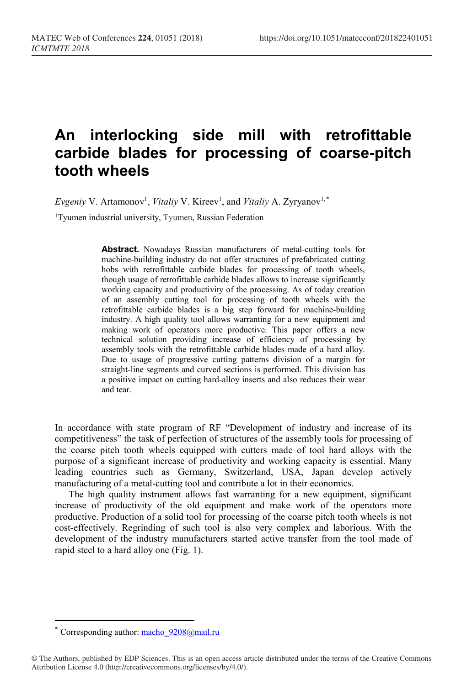## **An interlocking side mill with retrofittable carbide blades for processing of coarse-pitch tooth wheels**

Evgeniy V. Artamonov<sup>1</sup>, *Vitaliy* V. Kireev<sup>1</sup>, and *Vitaliy* A. Zyryanov<sup>1,[\\*](#page-0-0)</sup>

1Tyumen industrial university, Tyumen, Russian Federation

**Abstract.** Nowadays Russian manufacturers of metal-cutting tools for machine-building industry do not offer structures of prefabricated cutting hobs with retrofittable carbide blades for processing of tooth wheels, though usage of retrofittable carbide blades allows to increase significantly working capacity and productivity of the processing. As of today creation of an assembly cutting tool for processing of tooth wheels with the retrofittable carbide blades is a big step forward for machine-building industry. A high quality tool allows warranting for a new equipment and making work of operators more productive. This paper offers a new technical solution providing increase of efficiency of processing by assembly tools with the retrofittable carbide blades made of a hard alloy. Due to usage of progressive cutting patterns division of a margin for straight-line segments and curved sections is performed. This division has a positive impact on cutting hard-alloy inserts and also reduces their wear and tear.

In accordance with state program of RF "Development of industry and increase of its competitiveness" the task of perfection of structures of the assembly tools for processing of the coarse pitch tooth wheels equipped with cutters made of tool hard alloys with the purpose of a significant increase of productivity and working capacity is essential. Many leading countries such as Germany, Switzerland, USA, Japan develop actively manufacturing of a metal-cutting tool and contribute a lot in their economics.

The high quality instrument allows fast warranting for a new equipment, significant increase of productivity of the old equipment and make work of the operators more productive. Production of a solid tool for processing of the coarse pitch tooth wheels is not cost-effectively. Regrinding of such tool is also very complex and laborious. With the development of the industry manufacturers started active transfer from the tool made of rapid steel to a hard alloy one (Fig. 1).

 $\overline{a}$ 

Corresponding author: macho  $9208@$ mail.ru

<span id="page-0-0"></span><sup>©</sup> The Authors, published by EDP Sciences. This is an open access article distributed under the terms of the Creative Commons Attribution License 4.0 (http://creativecommons.org/licenses/by/4.0/).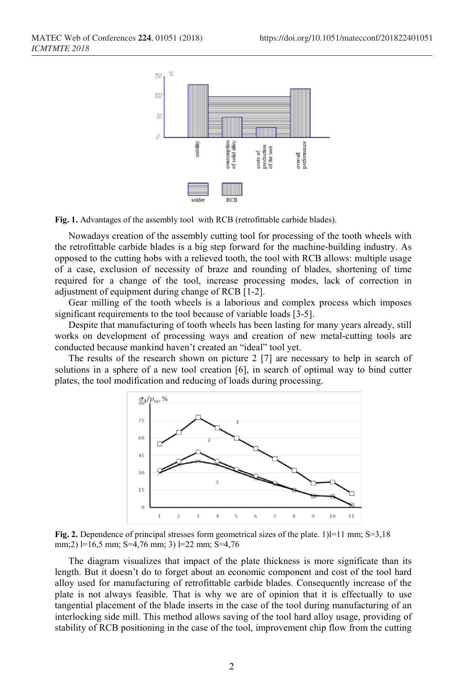

**Fig. 1.** Advantages of the assembly tool with RCB (retrofittable carbide blades).

Nowadays creation of the assembly cutting tool for processing of the tooth wheels with the retrofittable carbide blades is a big step forward for the machine-building industry. As opposed to the cutting hobs with a relieved tooth, the tool with RCB allows: multiple usage of a case, exclusion of necessity of braze and rounding of blades, shortening of time required for a change of the tool, increase processing modes, lack of correction in adjustment of equipment during change of RCB [1-2].

Gear milling of the tooth wheels is a laborious and complex process which imposes significant requirements to the tool because of variable loads [3-5].

Despite that manufacturing of tooth wheels has been lasting for many years already, still works on development of processing ways and creation of new metal-cutting tools are conducted because mankind haven't created an "ideal" tool yet.

The results of the research shown on picture 2 [7] are necessary to help in search of solutions in a sphere of a new tool creation [6], in search of optimal way to bind cutter plates, the tool modification and reducing of loads during processing.



**Fig. 2.** Dependence of principal stresses form geometrical sizes of the plate.  $1$ ] $= 11$  mm; S=3,18 mm;2) l=16,5 mm; S=4,76 mm; 3) l=22 mm; S=4,76

The diagram visualizes that impact of the plate thickness is more significate than its length. But it doesn't do to forget about an economic component and cost of the tool hard alloy used for manufacturing of retrofittable carbide blades. Consequently increase of the plate is not always feasible. That is why we are of opinion that it is effectually to use tangential placement of the blade inserts in the case of the tool during manufacturing of an interlocking side mill. This method allows saving of the tool hard alloy usage, providing of stability of RCB positioning in the case of the tool, improvement chip flow from the cutting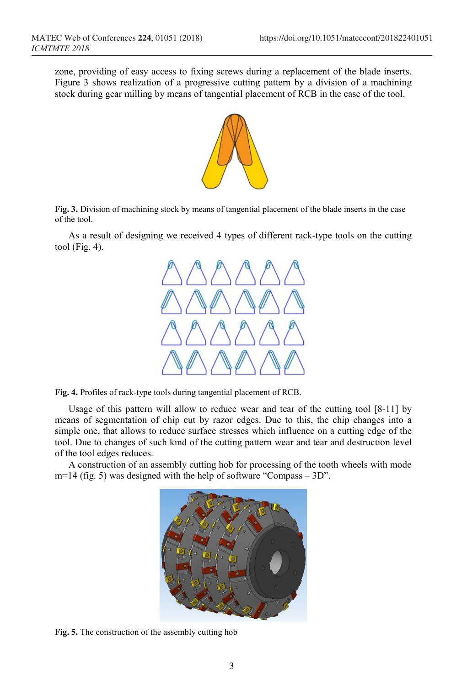zone, providing of easy access to fixing screws during a replacement of the blade inserts. Figure 3 shows realization of a progressive cutting pattern by a division of a machining stock during gear milling by means of tangential placement of RCB in the case of the tool.



**Fig. 3.** Division of machining stock by means of tangential placement of the blade inserts in the case of the tool.

As a result of designing we received 4 types of different rack-type tools on the cutting tool (Fig. 4).



**Fig. 4.** Profiles of rack-type tools during tangential placement of RCB.

Usage of this pattern will allow to reduce wear and tear of the cutting tool [8-11] by means of segmentation of chip cut by razor edges. Due to this, the chip changes into a simple one, that allows to reduce surface stresses which influence on a cutting edge of the tool. Due to changes of such kind of the cutting pattern wear and tear and destruction level of the tool edges reduces.

A construction of an assembly cutting hob for processing of the tooth wheels with mode  $m=14$  (fig. 5) was designed with the help of software "Compass – 3D".



**Fig. 5.** The construction of the assembly cutting hob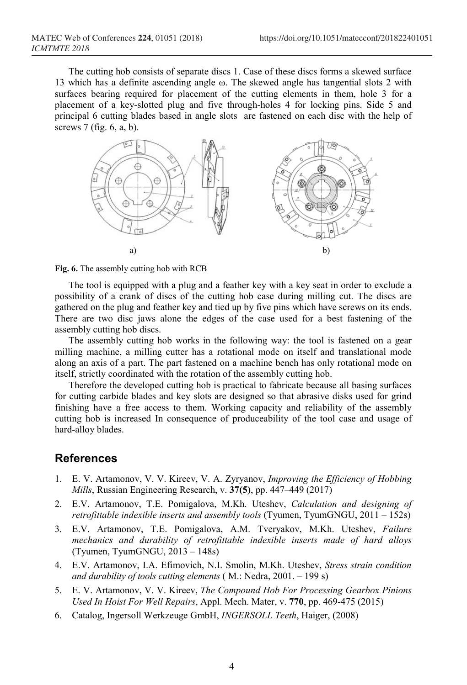The cutting hob consists of separate discs 1. Case of these discs forms a skewed surface 13 which has a definite ascending angle ω. The skewed angle has tangential slots 2 with surfaces bearing required for placement of the cutting elements in them, hole 3 for a placement of a key-slotted plug and five through-holes 4 for locking pins. Side 5 and principal 6 cutting blades based in angle slots are fastened on each disc with the help of screws 7 (fig. 6, a, b).



**Fig. 6.** The assembly cutting hob with RCB

The tool is equipped with a plug and a feather key with a key seat in order to exclude a possibility of a crank of discs of the cutting hob case during milling cut. The discs are gathered on the plug and feather key and tied up by five pins which have screws on its ends. There are two disc jaws alone the edges of the case used for a best fastening of the assembly cutting hob discs.

The assembly cutting hob works in the following way: the tool is fastened on a gear milling machine, a milling cutter has a rotational mode on itself and translational mode along an axis of a part. The part fastened on a machine bench has only rotational mode on itself, strictly coordinated with the rotation of the assembly cutting hob.

Therefore the developed cutting hob is practical to fabricate because all basing surfaces for cutting carbide blades and key slots are designed so that abrasive disks used for grind finishing have a free access to them. Working capacity and reliability of the assembly cutting hob is increased In consequence of produceability of the tool case and usage of hard-alloy blades.

## **References**

- 1. E. V. Artamonov, V. V. Kireev, V. A. Zyryanov, *Improving the Efficiency of Hobbing Mills*, Russian Engineering Research, v. **37(5)**, pp. 447–449 (2017)
- 2. E.V. Artamonov, T.E. Pomigalova, M.Kh. Uteshev, *Calculation and designing of retrofittable indexible inserts and assembly tools* (Tyumen, TyumGNGU, 2011 – 152s)
- 3. E.V. Artamonov, T.E. Pomigalova, A.M. Tveryakov, M.Kh. Uteshev, *Failure mechanics and durability of retrofittable indexible inserts made of hard alloys* (Tyumen, TyumGNGU, 2013 – 148s)
- 4. E.V. Artamonov, I.A. Efimovich, N.I. Smolin, M.Kh. Uteshev, *Stress strain condition and durability of tools cutting elements* ( M.: Nedra, 2001. – 199 s)
- 5. E. V. Artamonov, V. V. Kireev, *The Compound Hob For Processing Gearbox Pinions Used In Hoist For Well Repairs*, Appl. Mech. Mater, v. **770**, pp. 469-475 (2015)
- 6. Catalog, Ingersoll Werkzeuge GmbH, *INGERSOLL Teeth*, Haiger, (2008)